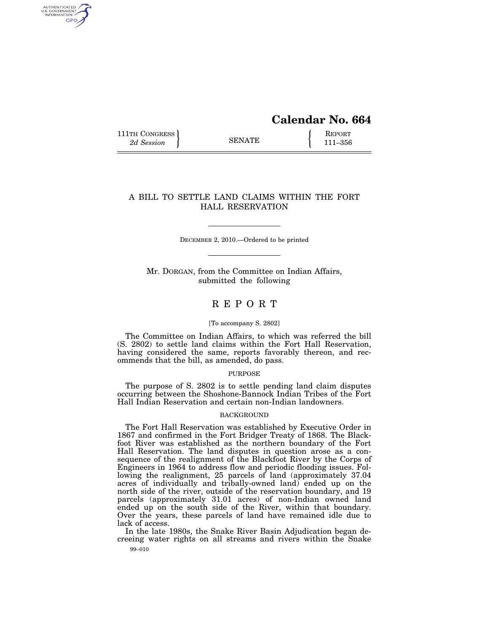# **Calendar No. 664**

111TH CONGRESS **REPORT** 2d Session **111 EXECUTE** 111–356

AUTHENTICATED<br>U.S. GOVERNMENT<br>INFORMATION **GPO** 

# A BILL TO SETTLE LAND CLAIMS WITHIN THE FORT HALL RESERVATION

DECEMBER 2, 2010.—Ordered to be printed

Mr. DORGAN, from the Committee on Indian Affairs, submitted the following

# R E P O R T

#### [To accompany S. 2802]

The Committee on Indian Affairs, to which was referred the bill (S. 2802) to settle land claims within the Fort Hall Reservation, having considered the same, reports favorably thereon, and recommends that the bill, as amended, do pass.

# PURPOSE

The purpose of S. 2802 is to settle pending land claim disputes occurring between the Shoshone-Bannock Indian Tribes of the Fort Hall Indian Reservation and certain non-Indian landowners.

### **BACKGROUND**

The Fort Hall Reservation was established by Executive Order in 1867 and confirmed in the Fort Bridger Treaty of 1868. The Blackfoot River was established as the northern boundary of the Fort Hall Reservation. The land disputes in question arose as a consequence of the realignment of the Blackfoot River by the Corps of Engineers in 1964 to address flow and periodic flooding issues. Following the realignment, 25 parcels of land (approximately 37.04 acres of individually and tribally-owned land) ended up on the north side of the river, outside of the reservation boundary, and 19 parcels (approximately 31.01 acres) of non-Indian owned land ended up on the south side of the River, within that boundary. Over the years, these parcels of land have remained idle due to lack of access.

99–010 In the late 1980s, the Snake River Basin Adjudication began decreeing water rights on all streams and rivers within the Snake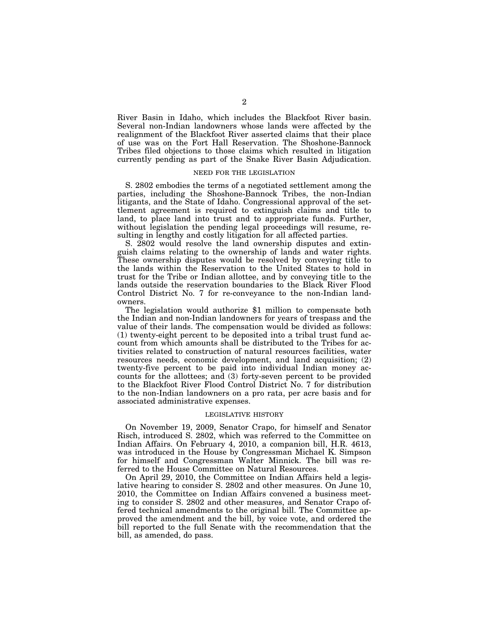River Basin in Idaho, which includes the Blackfoot River basin. Several non-Indian landowners whose lands were affected by the realignment of the Blackfoot River asserted claims that their place of use was on the Fort Hall Reservation. The Shoshone-Bannock Tribes filed objections to those claims which resulted in litigation currently pending as part of the Snake River Basin Adjudication.

# NEED FOR THE LEGISLATION

S. 2802 embodies the terms of a negotiated settlement among the parties, including the Shoshone-Bannock Tribes, the non-Indian litigants, and the State of Idaho. Congressional approval of the settlement agreement is required to extinguish claims and title to land, to place land into trust and to appropriate funds. Further, without legislation the pending legal proceedings will resume, resulting in lengthy and costly litigation for all affected parties.

S. 2802 would resolve the land ownership disputes and extinguish claims relating to the ownership of lands and water rights. These ownership disputes would be resolved by conveying title to the lands within the Reservation to the United States to hold in trust for the Tribe or Indian allottee, and by conveying title to the lands outside the reservation boundaries to the Black River Flood Control District No. 7 for re-conveyance to the non-Indian landowners.

The legislation would authorize \$1 million to compensate both the Indian and non-Indian landowners for years of trespass and the value of their lands. The compensation would be divided as follows: (1) twenty-eight percent to be deposited into a tribal trust fund account from which amounts shall be distributed to the Tribes for activities related to construction of natural resources facilities, water resources needs, economic development, and land acquisition; (2) twenty-five percent to be paid into individual Indian money accounts for the allottees; and (3) forty-seven percent to be provided to the Blackfoot River Flood Control District No. 7 for distribution to the non-Indian landowners on a pro rata, per acre basis and for associated administrative expenses.

### LEGISLATIVE HISTORY

On November 19, 2009, Senator Crapo, for himself and Senator Risch, introduced S. 2802, which was referred to the Committee on Indian Affairs. On February 4, 2010, a companion bill, H.R. 4613, was introduced in the House by Congressman Michael K. Simpson for himself and Congressman Walter Minnick. The bill was referred to the House Committee on Natural Resources.

On April 29, 2010, the Committee on Indian Affairs held a legislative hearing to consider S. 2802 and other measures. On June 10, 2010, the Committee on Indian Affairs convened a business meeting to consider S. 2802 and other measures, and Senator Crapo offered technical amendments to the original bill. The Committee approved the amendment and the bill, by voice vote, and ordered the bill reported to the full Senate with the recommendation that the bill, as amended, do pass.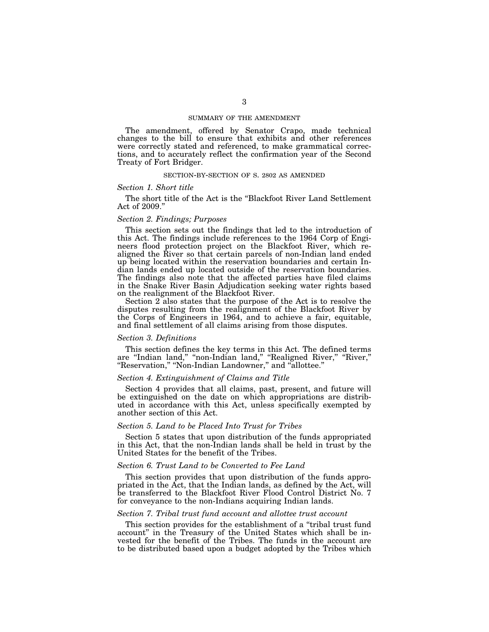## SUMMARY OF THE AMENDMENT

The amendment, offered by Senator Crapo, made technical changes to the bill to ensure that exhibits and other references were correctly stated and referenced, to make grammatical corrections, and to accurately reflect the confirmation year of the Second Treaty of Fort Bridger.

# SECTION-BY-SECTION OF S. 2802 AS AMENDED

# *Section 1. Short title*

The short title of the Act is the ''Blackfoot River Land Settlement Act of 2009.''

# *Section 2. Findings; Purposes*

This section sets out the findings that led to the introduction of this Act. The findings include references to the 1964 Corp of Engineers flood protection project on the Blackfoot River, which realigned the River so that certain parcels of non-Indian land ended up being located within the reservation boundaries and certain Indian lands ended up located outside of the reservation boundaries. The findings also note that the affected parties have filed claims in the Snake River Basin Adjudication seeking water rights based on the realignment of the Blackfoot River.

Section 2 also states that the purpose of the Act is to resolve the disputes resulting from the realignment of the Blackfoot River by the Corps of Engineers in 1964, and to achieve a fair, equitable, and final settlement of all claims arising from those disputes.

### *Section 3. Definitions*

This section defines the key terms in this Act. The defined terms are "Indian land," "non-Indian land," "Realigned River," "River," ''Reservation,'' ''Non-Indian Landowner,'' and ''allottee.''

# *Section 4. Extinguishment of Claims and Title*

Section 4 provides that all claims, past, present, and future will be extinguished on the date on which appropriations are distributed in accordance with this Act, unless specifically exempted by another section of this Act.

# *Section 5. Land to be Placed Into Trust for Tribes*

Section 5 states that upon distribution of the funds appropriated in this Act, that the non-Indian lands shall be held in trust by the United States for the benefit of the Tribes.

# *Section 6. Trust Land to be Converted to Fee Land*

This section provides that upon distribution of the funds appropriated in the Act, that the Indian lands, as defined by the Act, will be transferred to the Blackfoot River Flood Control District No. 7 for conveyance to the non-Indians acquiring Indian lands.

## *Section 7. Tribal trust fund account and allottee trust account*

This section provides for the establishment of a "tribal trust fund" account'' in the Treasury of the United States which shall be invested for the benefit of the Tribes. The funds in the account are to be distributed based upon a budget adopted by the Tribes which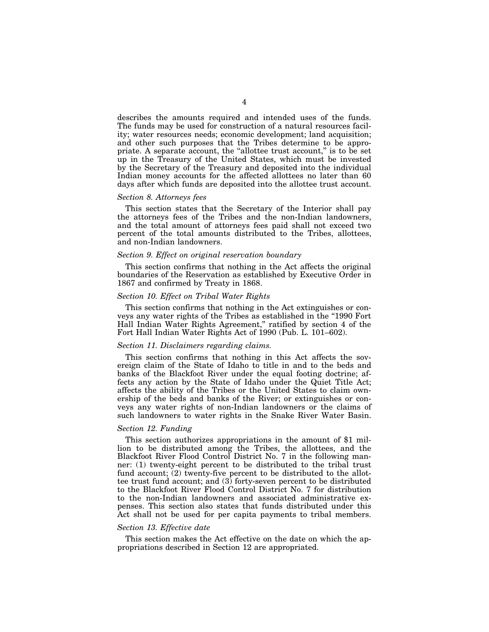describes the amounts required and intended uses of the funds. The funds may be used for construction of a natural resources facility; water resources needs; economic development; land acquisition; and other such purposes that the Tribes determine to be appropriate. A separate account, the "allottee trust account," is to be set up in the Treasury of the United States, which must be invested by the Secretary of the Treasury and deposited into the individual Indian money accounts for the affected allottees no later than 60 days after which funds are deposited into the allottee trust account.

# *Section 8. Attorneys fees*

This section states that the Secretary of the Interior shall pay the attorneys fees of the Tribes and the non-Indian landowners, and the total amount of attorneys fees paid shall not exceed two percent of the total amounts distributed to the Tribes, allottees, and non-Indian landowners.

# *Section 9. Effect on original reservation boundary*

This section confirms that nothing in the Act affects the original boundaries of the Reservation as established by Executive Order in 1867 and confirmed by Treaty in 1868.

# *Section 10. Effect on Tribal Water Rights*

This section confirms that nothing in the Act extinguishes or conveys any water rights of the Tribes as established in the ''1990 Fort Hall Indian Water Rights Agreement,'' ratified by section 4 of the Fort Hall Indian Water Rights Act of 1990 (Pub. L. 101–602).

# *Section 11. Disclaimers regarding claims.*

This section confirms that nothing in this Act affects the sovereign claim of the State of Idaho to title in and to the beds and banks of the Blackfoot River under the equal footing doctrine; affects any action by the State of Idaho under the Quiet Title Act; affects the ability of the Tribes or the United States to claim ownership of the beds and banks of the River; or extinguishes or conveys any water rights of non-Indian landowners or the claims of such landowners to water rights in the Snake River Water Basin.

#### *Section 12. Funding*

This section authorizes appropriations in the amount of \$1 million to be distributed among the Tribes, the allottees, and the Blackfoot River Flood Control District No. 7 in the following manner: (1) twenty-eight percent to be distributed to the tribal trust fund account; (2) twenty-five percent to be distributed to the allottee trust fund account; and (3) forty-seven percent to be distributed to the Blackfoot River Flood Control District No. 7 for distribution to the non-Indian landowners and associated administrative expenses. This section also states that funds distributed under this Act shall not be used for per capita payments to tribal members.

### *Section 13. Effective date*

This section makes the Act effective on the date on which the appropriations described in Section 12 are appropriated.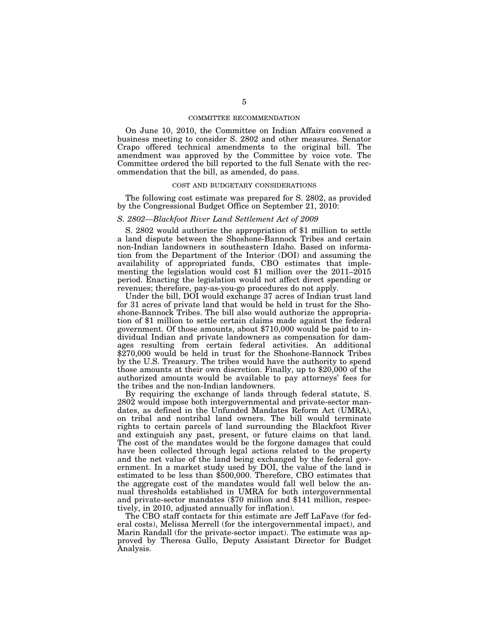## COMMITTEE RECOMMENDATION

On June 10, 2010, the Committee on Indian Affairs convened a business meeting to consider S. 2802 and other measures. Senator Crapo offered technical amendments to the original bill. The amendment was approved by the Committee by voice vote. The Committee ordered the bill reported to the full Senate with the recommendation that the bill, as amended, do pass.

#### COST AND BUDGETARY CONSIDERATIONS

The following cost estimate was prepared for S. 2802, as provided by the Congressional Budget Office on September 21, 2010:

# *S. 2802—Blackfoot River Land Settlement Act of 2009*

S. 2802 would authorize the appropriation of \$1 million to settle a land dispute between the Shoshone-Bannock Tribes and certain non-Indian landowners in southeastern Idaho. Based on information from the Department of the Interior (DOI) and assuming the availability of appropriated funds, CBO estimates that implementing the legislation would cost \$1 million over the 2011–2015 period. Enacting the legislation would not affect direct spending or revenues; therefore, pay-as-you-go procedures do not apply.

Under the bill, DOI would exchange 37 acres of Indian trust land for 31 acres of private land that would be held in trust for the Shoshone-Bannock Tribes. The bill also would authorize the appropriation of \$1 million to settle certain claims made against the federal government. Of those amounts, about \$710,000 would be paid to individual Indian and private landowners as compensation for damages resulting from certain federal activities. An additional \$270,000 would be held in trust for the Shoshone-Bannock Tribes by the U.S. Treasury. The tribes would have the authority to spend those amounts at their own discretion. Finally, up to \$20,000 of the authorized amounts would be available to pay attorneys' fees for the tribes and the non-Indian landowners.

By requiring the exchange of lands through federal statute, S. 2802 would impose both intergovernmental and private-sector mandates, as defined in the Unfunded Mandates Reform Act (UMRA), on tribal and nontribal land owners. The bill would terminate rights to certain parcels of land surrounding the Blackfoot River and extinguish any past, present, or future claims on that land. The cost of the mandates would be the forgone damages that could have been collected through legal actions related to the property and the net value of the land being exchanged by the federal government. In a market study used by DOI, the value of the land is estimated to be less than \$500,000. Therefore, CBO estimates that the aggregate cost of the mandates would fall well below the annual thresholds established in UMRA for both intergovernmental and private-sector mandates (\$70 million and \$141 million, respectively, in 2010, adjusted annually for inflation).

The CBO staff contacts for this estimate are Jeff LaFave (for federal costs), Melissa Merrell (for the intergovernmental impact), and Marin Randall (for the private-sector impact). The estimate was approved by Theresa Gullo, Deputy Assistant Director for Budget Analysis.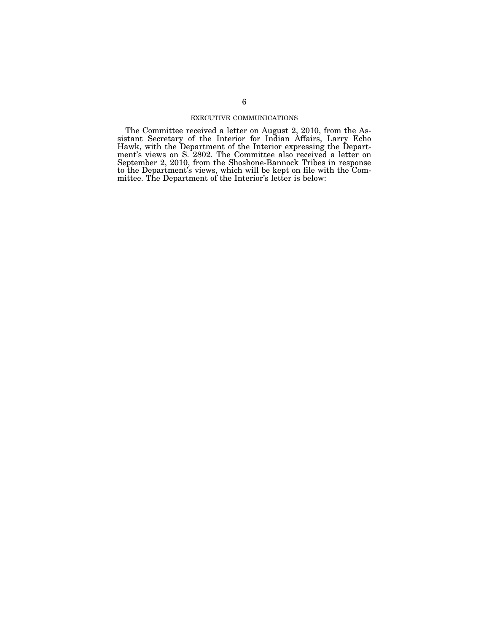# EXECUTIVE COMMUNICATIONS

The Committee received a letter on August 2, 2010, from the Assistant Secretary of the Interior for Indian Affairs, Larry Echo Hawk, with the Department of the Interior expressing the Department's views on S. 2802. The Committee also received a letter on September 2, 2010, from the Shoshone-Bannock Tribes in response to the Department's views, which will be kept on file with the Committee. The Department of the Interior's letter is below: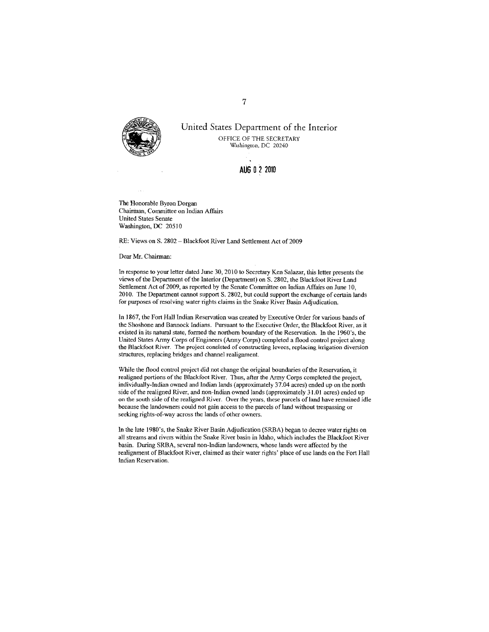

United States Department of the Interior OFFICE OF THE SECRETARY Washington, DC 20240

AUG 0 2 2010

The Honorable Byron Dorgan Chairman, Committee on Indian Affairs **United States Senate** Washington, DC 20510

RE: Views on S. 2802 - Blackfoot River Land Settlement Act of 2009

Dear Mr. Chairman:

In response to your letter dated June 30, 2010 to Secretary Ken Salazar, this letter presents the views of the Department of the Interior (Department) on S. 2802, the Blackfoot River Land Settlement Act of 2009, as reported by the Senate Committee on Indian Affairs on June 10, 2010. The Department cannot support S. 2802, but could support the exchange of certain lands for purposes of resolving water rights claims in the Snake River Basin Adjudication.

In 1867, the Fort Hall Indian Reservation was created by Executive Order for various bands of the Shoshone and Bannock Indians. Pursuant to the Executive Order, the Blackfoot River, as it existed in its natural state, formed the northern boundary of the Reservation. In the 1960's, the United States Army Corps of Engineers (Army Corps) completed a flood control project along the Blackfoot River. The project consisted of constructing levees, replacing irrigation diversion structures, replacing bridges and channel realignment.

While the flood control project did not change the original boundaries of the Reservation, it realigned portions of the Blackfoot River. Thus, after the Army Corps completed the project, individually-Indian owned and Indian lands (approximately 37.04 acres) ended up on the north side of the realigned River, and non-Indian owned lands (approximately 31.01 acres) ended up on the south side of the realigned River. Over the years, these parcels of land have remained idle because the landowners could not gain access to the parcels of land without trespassing or seeking rights-of-way across the lands of other owners.

In the late 1980's, the Snake River Basin Adjudication (SRBA) began to decree water rights on all streams and rivers within the Snake River basin in Idaho, which includes the Blackfoot River basin. During SRBA, several non-Indian landowners, whose lands were affected by the realignment of Blackfoot River, claimed as their water rights' place of use lands on the Fort Hall Indian Reservation.

 $\overline{7}$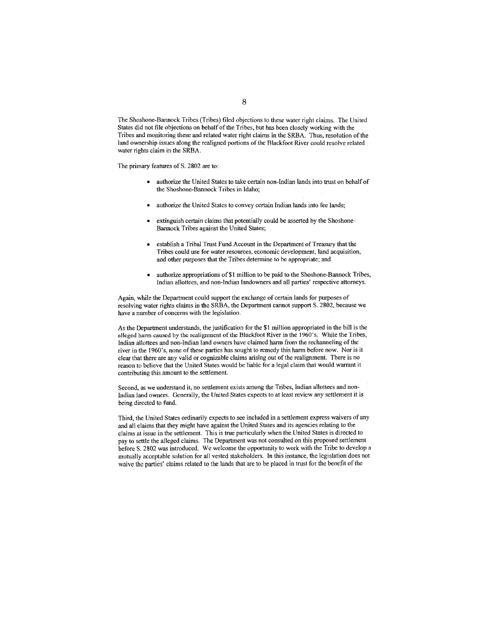The Shoshone-Bannock Tribes (Tribes) filed objections to these water right claims. The United States did not file objections on behalf of the Tribes, but has been closely working with the Tribes and monitoring these and related water right claims in the SRBA. Thus, resolution of the land ownership issues along the realigned portions of the Blackfoot River could resolve related water rights claim in the SRBA.

The primary features of S. 2802 are to:

- authorize the United States to take certain non-Indian lands into trust on behalf of the Shoshone-Bannock Tribes in Idaho;
- authorize the United States to convey certain Indian lands into fee lands;
- extinguish certain claims that potentially could be asserted by the Shoshone-Bannock Tribes against the United States;
- establish a Tribal Trust Fund Account in the Department of Treasury that the Tribes could use for water resources, economic development, land acquisition, and other purposes that the Tribes determine to be appropriate; and
- authorize appropriations of \$1 million to be paid to the Shoshone-Bannock Tribes.  $\bullet$ Indian allottees, and non-Indian landowners and all parties' respective attorneys.

Again, while the Department could support the exchange of certain lands for purposes of resolving water rights claims in the SRBA, the Department cannot support S. 2802, because we have a number of concerns with the legislation.

As the Department understands, the justification for the \$1 million appropriated in the bill is the alleged harm caused by the realignment of the Blackfoot River in the 1960's. While the Tribes, Indian allottees and non-Indian land owners have claimed harm from the rechanneling of the river in the 1960's, none of these parties has sought to remedy this harm before now. Nor is it clear that there are any valid or cognizable claims arising out of the realignment. There is no reason to believe that the United States would be liable for a legal claim that would warrant it contributing this amount to the settlement.

Second, as we understand it, no settlement exists among the Tribes, Indian allottees and non-Indian land owners. Generally, the United States expects to at least review any settlement it is being directed to fund.

Third, the United States ordinarily expects to see included in a settlement express waivers of any and all claims that they might have against the United States and its agencies relating to the claims at issue in the settlement. This is true particularly when the United States is directed to pay to settle the alleged claims. The Department was not consulted on this proposed settlement before S. 2802 was introduced. We welcome the opportunity to work with the Tribe to develop a mutually acceptable solution for all vested stakeholders. In this instance, the legislation does not waive the parties' claims related to the lands that are to be placed in trust for the benefit of the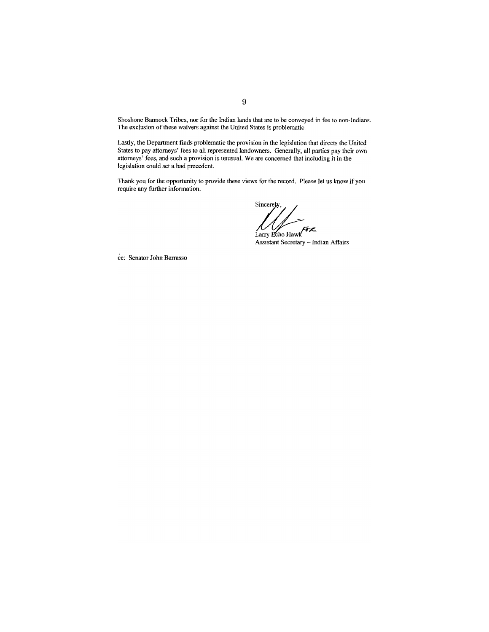Shoshone Bannock Tribes, nor for the Indian lands that are to be conveyed in fee to non-Indians. The exclusion of these waivers against the United States is problematic.

Lastly, the Department finds problematic the provision in the legislation that directs the United States to pay attorneys' fees to all represented landowners. Generally, all parties pay their own attorneys' fees, and such a provision is unusual. We are concerned that including it in the legislation could set a bad precedent.

Thank you for the opportunity to provide these views for the record. Please let us know if you require any further information.

Sincerely.  $\bigwedge$  Larry Echo Hawk

Assistant Secretary - Indian Affairs

cc: Senator John Barrasso